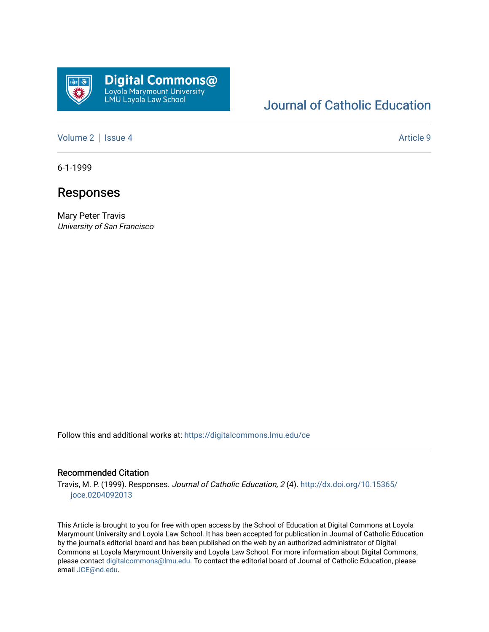

## [Journal of Catholic Education](https://digitalcommons.lmu.edu/ce)

[Volume 2](https://digitalcommons.lmu.edu/ce/vol2) | [Issue 4](https://digitalcommons.lmu.edu/ce/vol2/iss4) Article 9

6-1-1999

### Responses

Mary Peter Travis University of San Francisco

Follow this and additional works at: [https://digitalcommons.lmu.edu/ce](https://digitalcommons.lmu.edu/ce?utm_source=digitalcommons.lmu.edu%2Fce%2Fvol2%2Fiss4%2F9&utm_medium=PDF&utm_campaign=PDFCoverPages)

#### Recommended Citation

Travis, M. P. (1999). Responses. Journal of Catholic Education, 2 (4). [http://dx.doi.org/10.15365/](http://dx.doi.org/10.15365/joce.0204092013) [joce.0204092013](http://dx.doi.org/10.15365/joce.0204092013) 

This Article is brought to you for free with open access by the School of Education at Digital Commons at Loyola Marymount University and Loyola Law School. It has been accepted for publication in Journal of Catholic Education by the journal's editorial board and has been published on the web by an authorized administrator of Digital Commons at Loyola Marymount University and Loyola Law School. For more information about Digital Commons, please contact [digitalcommons@lmu.edu](mailto:digitalcommons@lmu.edu). To contact the editorial board of Journal of Catholic Education, please email [JCE@nd.edu](mailto:JCE@nd.edu).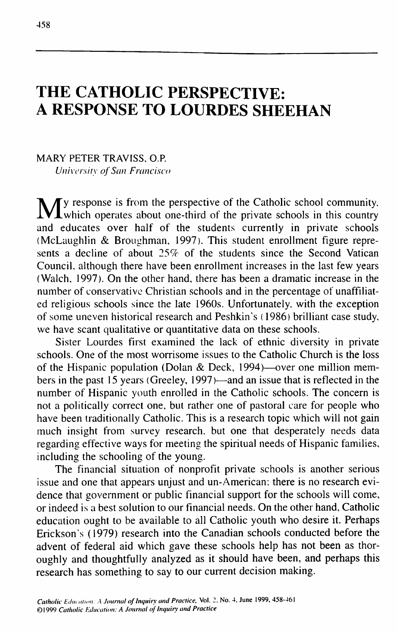# **THE CATHOLIC PERSPECTIVE: A RESPONSE TO LOURDES SHEEHAN**

MARY PETER TRAVISS, O.P. *University of San Francisco*

My response is from the perspective of the Catholic school community,<br>Which operates about one-third of the private schools in this country and educates over half of the students currently in private schools (McLaughlin & Broughman, 1997). This student enrollment figure represents a decline of about 25% of the students since the Second Vatican Council, although there have been enrollment increases in the last few years (Walch, 1997). On the other hand, there has been a dramatic increase in the number of conservative Christian schools and in the percentage of unaffiliated religious schools since the late 1960s. Unfortunately, with the exception of some uneven historical research and Peshkin's (1986) brilliant case study, we have scant qualitative or quantitative data on these schools.

Sister Lourdes first examined the lack of ethnic diversity in private schools. One of the most worrisome issues to the Catholic Church is the loss of the Hispanic population (Dolan & Deck, 1994)—over one million members in the past 15 years (Greeley, 1997)—and an issue that is reflected in the number of Hispanic youth enrolled in the Catholic schools. The concern is not a politically correct one, but rather one of pastoral care for people who have been traditionally Catholic. This is a research topic which will not gain much insight from survey research, but one that desperately needs data regarding effective ways for meeting the spiritual needs of Hispanic families, including the schooling of the young.

The financial situation of nonprofit private schools is another serious issue and one that appears unjust and un-American; there is no research evidence that government or public financial support for the schools will come, or indeed is a best solution to our financial needs. On the other hand. Catholic education ought to be available to all Catholic youth who desire it. Perhaps Erickson's (1979) research into the Canadian schools conducted before the advent of federal aid which gave these schools help has not been as thoroughly and thoughtfully analyzed as it should have been, and perhaps this research has something to say to our current decision making.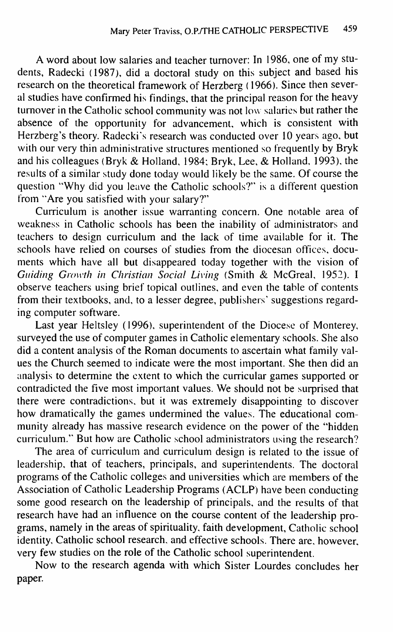A word about low salaries and teacher turnover: In 1986, one of my students, Radecki (1987), did a doctoral study on this subject and based his research on the theoretical framework of Herzberg (1966). Since then several studies have confirmed his findings, that the principal reason for the heavy turnover in the Catholic school community was not low salaries but rather the absence of the opportunity for advancement, which is consistent with Herzberg's theory. Radecki's research was conducted over 10 years ago, but with our very thin administrative structures mentioned so frequently by Bryk and his colleagues (Bryk & Holland, 1984; Bryk, Lee, & Holland, 1993), the results of a similar study done today would likely be the same. Of course the question "Why did you leave the Catholic schools?" is a different question from "Are you satisfied with your salary?"

Curriculum is another issue warranting concern. One notable area of weakness in Catholic schools has been the inability of administrators and teachers to design curriculum and the lack of time available for it. The schools have relied on courses of studies from the diocesan offices, documents which have all but disappeared today together with the vision of *Guiding Growth in Christian Social Living* (Smith & McGreal, 1952). I observe teachers using brief topical outlines, and even the table of contents from their textbooks, and, to a lesser degree, publishers' suggestions regarding computer software.

Last year Heltsley (1996), superintendent of the Diocese of Monterey, surveyed the use of computer games in Catholic elementary schools. She also did a content analysis of the Roman documents to ascertain what family values the Church seemed to indicate were the most important. She then did an analysis to determine the extent to which the curricular games supported or contradicted the five most important values. We should not be surprised that there were contradictions, but it was extremely disappointing to discover how dramatically the games undermined the values. The educational community already has massive research evidence on the power of the "hidden curriculum." But how are Catholic school administrators using the research?

The area of curriculum and curriculum design is related to the issue of leadership, that of teachers, principals, and superintendents. The doctoral programs of the Catholic colleges and universities which are members of the Association of Catholic Leadership Programs (ACLP) have been conducting some good research on the leadership of principals, and the results of that research have had an influence on the course content of the leadership programs, namely in the areas of spirituality, faith development. Catholic school identity. Catholic school research, and effective schools. There are, however, very few studies on the role of the Catholic school superintendent.

Now to the research agenda with which Sister Lourdes concludes her paper.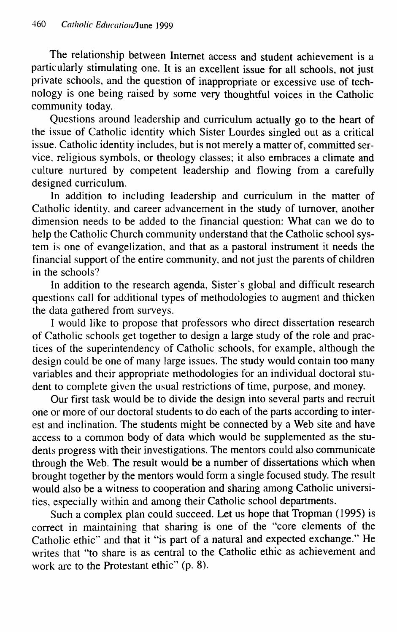The relationship between Internet access and student achievement is a particularly stimulating one. It is an excellent issue for all schools, not just private schools, and the question of inappropriate or excessive use of technology is one being raised by some very thoughtful voices in the Catholic community today.

Questions around leadership and curriculum actually go to the heart of the issue of Catholic identity which Sister Lourdes singled out as a critical issue. Catholic identity includes, but is not merely a matter of, committed service, religious symbols, or theology classes; it also embraces a climate and culture nurtured by competent leadership and flowing from a carefully designed curriculum.

In addition to including leadership and curriculum in the matter of Catholic identity, and career advancement in the study of turnover, another dimension needs to be added to the financial question: What can we do to help the Catholic Church community understand that the Catholic school system is one of evangelization, and that as a pastoral instrument it needs the financial support of the entire community, and not just the parents of children in the schools?

In addition to the research agenda. Sister's global and difficult research questions call for additional types of methodologies to augment and thicken the data gathered from surveys.

I would like to propose that professors who direct dissertation research of Catholic schools get together to design a large study of the role and practices of the superintendency of Catholic schools, for example, although the design could be one of many large issues. The study would contain too many variables and their appropriate methodologies for an individual doctoral student to complete given the usual restrictions of time, purpose, and money.

Our first task would be to divide the design into several parts and recruit one or more of our doctoral students to do each of the parts according to interest and inclination. The students might be connected by a Web site and have access to a common body of data which would be supplemented as the students progress with their investigations. The mentors could also communicate through the Web. The result would be a number of dissertations which when brought together by the mentors would form a single focused study. The result would also be a witness to cooperation and sharing among Catholic universities, especially within and among their Catholic school departments.

Such a complex plan could succeed. Let us hope that Tropman (1995) is correct in maintaining that sharing is one of the "core elements of the Catholic ethic" and that it "is part of a natural and expected exchange." He writes that "to share is as central to the Catholic ethic as achievement and work are to the Protestant ethic" (p. 8).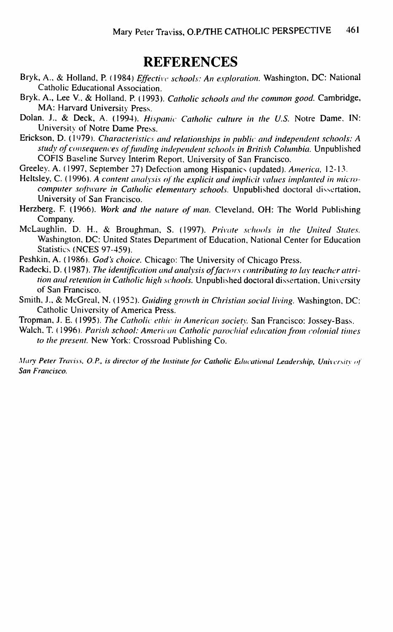## **REFERENCES**

- Bryk, A., & Holland, P. (1984) *Effective schools: An e.xplotation.* Washington, DC: National Catholic Educational Association.
- Bryk, A., Lee V, & Holland. P. (1993). *Catholic schools and the common good.* Cambridge, MA: Harvard University Press.
- Dolan. J., & Deck, A. (1994). *Hispanic Catholic culture in the U.S.* Notre Dame. IN: University of Notre Dame Press.
- Erickson, D. (1979). Characteristics and relationships in public and independent schools: A *study of consequences of funding independent schools in British Columbia.* Unpublished COFIS Baseline Survey Interim Report. University of San Francisco.

Greeley. A. (1997, September 27) Defection among Hispanics (updated). America, 12-13.

- Heltsley, C. (1996). A content analysis of the explicit and implicit values implanted in micro*computer .software in Catholic elementary schools.* Unpublished doctoral dissertation. University of San Francisco.
- Herzberg. F. (1966). Work and the nature of man. Cleveland, OH: The World Publishing Company.
- McLaughlin, D. H., & Broughman, S. (1997). Private schools in the United States. Washington, DC: United States Department of Education, National Center for Education Statistics (NCES 97-459).

Peshkin, A. (1986). *God's choice.* Chicago: The University of Chicago Press.

- Radecki, D. (1987). The identification and analysis of factors contributing to lay teacher attrition and retention in Catholic high schools. Unpublished doctoral dissertation, University of San Francisco.
- Smith, J., & McGreal, N. (1952). *Guiding growth in Christian social living.* Washington, DC: Catholic University of America Press.

Tropman, J. E. (1995). *The Catholic ethic in American society*. San Francisco: Jossey-Bass.

Walch, T. (1996). Parish school: American Catholic parochial education from colonial times *to the ptesent.* New York: Crossroad Publishing Co.

*Mary Peter Traviss, O.P., is director of the Institute for Catholic Educational Leadership, University of San Francisco.*